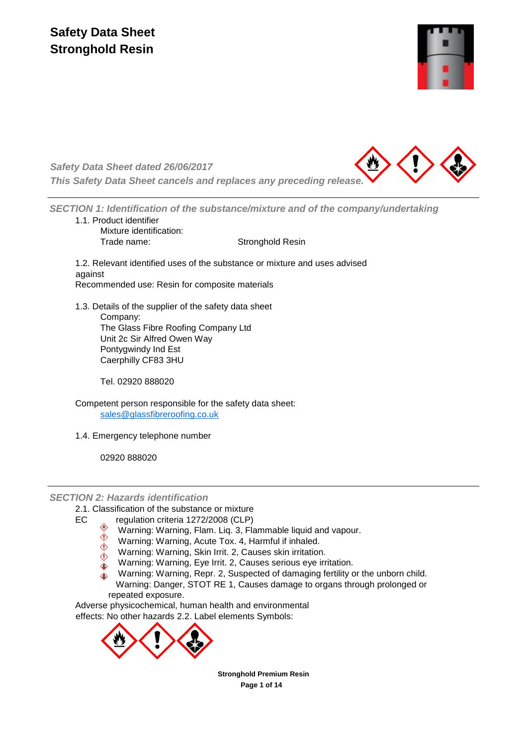

*Safety Data Sheet dated 26/06/2017 This Safety Data Sheet cancels and replaces any preceding release.*



*SECTION 1: Identification of the substance/mixture and of the company/undertaking* 1.1. Product identifier

Mixture identification: Trade name: Stronghold Resin

1.2. Relevant identified uses of the substance or mixture and uses advised against Recommended use: Resin for composite materials

1.3. Details of the supplier of the safety data sheet Company: The Glass Fibre Roofing Company Ltd Unit 2c Sir Alfred Owen Way Pontygwindy Ind Est Caerphilly CF83 3HU

Tel. 02920 888020

Competent person responsible for the safety data sheet: [sales@glassfibreroofing.co.uk](mailto:sales@glassfibreroofing.co.uk)

1.4. Emergency telephone number

02920 888020

*SECTION 2: Hazards identification*

2.1. Classification of the substance or mixture

- EC regulation criteria 1272/2008 (CLP)
	- Warning: Warning, Flam. Liq. 3, Flammable liquid and vapour.
	- $\overset{\circ}{\diamond}$  Warning: Warning, Acute Tox. 4, Harmful if inhaled.  $\Diamond$
	- Warning: Warning, Skin Irrit. 2, Causes skin irritation.  $\Diamond$
	- Warning: Warning, Eye Irrit. 2, Causes serious eye irritation.
	- $\check{\bullet}$  Warning: Warning, Repr. 2, Suspected of damaging fertility or the unborn child. Warning: Danger, STOT RE 1, Causes damage to organs through prolonged or repeated exposure.

Adverse physicochemical, human health and environmental effects: No other hazards 2.2. Label elements Symbols:



**Stronghold Premium Resin Page 1 of 14**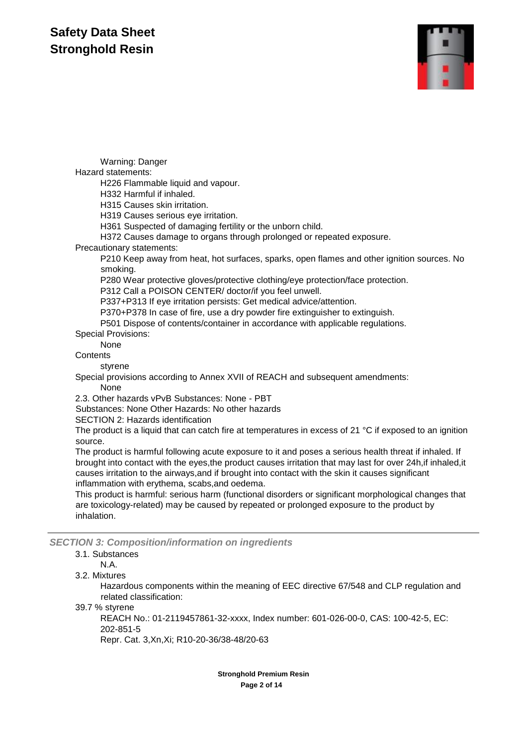

Warning: Danger Hazard statements: H226 Flammable liquid and vapour. H332 Harmful if inhaled. H315 Causes skin irritation. H319 Causes serious eye irritation. H361 Suspected of damaging fertility or the unborn child. H372 Causes damage to organs through prolonged or repeated exposure. Precautionary statements: P210 Keep away from heat, hot surfaces, sparks, open flames and other ignition sources. No smoking. P280 Wear protective gloves/protective clothing/eye protection/face protection. P312 Call a POISON CENTER/ doctor/if you feel unwell. P337+P313 If eye irritation persists: Get medical advice/attention. P370+P378 In case of fire, use a dry powder fire extinguisher to extinguish. P501 Dispose of contents/container in accordance with applicable regulations. Special Provisions: None **Contents** styrene Special provisions according to Annex XVII of REACH and subsequent amendments: None 2.3. Other hazards vPvB Substances: None - PBT Substances: None Other Hazards: No other hazards SECTION 2: Hazards identification The product is a liquid that can catch fire at temperatures in excess of 21 °C if exposed to an ignition source. The product is harmful following acute exposure to it and poses a serious health threat if inhaled. If brought into contact with the eyes,the product causes irritation that may last for over 24h,if inhaled,it causes irritation to the airways,and if brought into contact with the skin it causes significant inflammation with erythema, scabs,and oedema. This product is harmful: serious harm (functional disorders or significant morphological changes that are toxicology-related) may be caused by repeated or prolonged exposure to the product by inhalation.

*SECTION 3: Composition/information on ingredients*

#### 3.1. Substances

N.A.

3.2. Mixtures

Hazardous components within the meaning of EEC directive 67/548 and CLP regulation and related classification:

39.7 % styrene

REACH No.: 01-2119457861-32-xxxx, Index number: 601-026-00-0, CAS: 100-42-5, EC: 202-851-5

Repr. Cat. 3,Xn,Xi; R10-20-36/38-48/20-63

**Stronghold Premium Resin Page 2 of 14**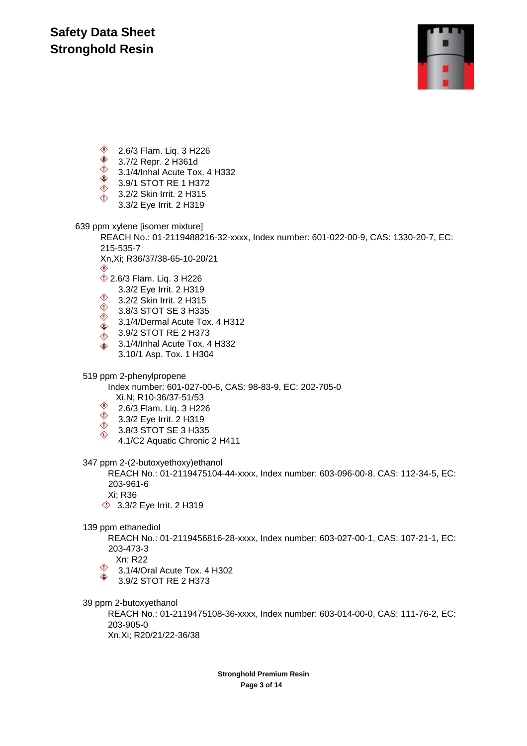

**♦ 2.6/3 Flam. Liq. 3 H226** 

- **♦ 3.7/2 Repr. 2 H361d**
- $\begin{array}{cc} \circ & \circ & \circ & \circ \\ \circ & 3.1/4/$ Inhal Acute Tox. 4 H332
- ♦ 3.9/1 STOT RE 1 H372  $\Diamond$
- 3.2/2 Skin Irrit. 2 H315  $\Diamond$
- 3.3/2 Eye Irrit. 2 H319

639 ppm xylene [isomer mixture]

REACH No.: 01-2119488216-32-xxxx, Index number: 601-022-00-9, CAS: 1330-20-7, EC: 215-535-7

Xn,Xi; R36/37/38-65-10-20/21

- ♦ **12.6/3 Flam. Lig. 3 H226**
- 3.3/2 Eye Irrit. 2 H319  $\Diamond$
- 3.2/2 Skin Irrit. 2 H315  $\Diamond$
- 3.8/3 STOT SE 3 H335  $\Diamond$
- 3.1/4/Dermal Acute Tox. 4 H312  $\Diamond$
- 3.9/2 STOT RE 2 H373  $\Diamond$
- 3.1/4/Inhal Acute Tox. 4 H332  $\Diamond$ 3.10/1 Asp. Tox. 1 H304

519 ppm 2-phenylpropene

Index number: 601-027-00-6, CAS: 98-83-9, EC: 202-705-0 Xi,N; R10-36/37-51/53

- 
- 2.6/3 Flam. Liq. 3 H226
- 3.3/2 Eye Irrit. 2 H319
- 3.8/3 STOT SE 3 H335  $\diamondsuit$ 
	- 4.1/C2 Aquatic Chronic 2 H411

347 ppm 2-(2-butoxyethoxy)ethanol

REACH No.: 01-2119475104-44-xxxx, Index number: 603-096-00-8, CAS: 112-34-5, EC: 203-961-6

Xi; R36

**3.3/2 Eye Irrit. 2 H319** 

139 ppm ethanediol

REACH No.: 01-2119456816-28-xxxx, Index number: 603-027-00-1, CAS: 107-21-1, EC: 203-473-3

Xn; R22

- $\Diamond$ 3.1/4/Oral Acute Tox. 4 H302
- ♦ 3.9/2 STOT RE 2 H373

39 ppm 2-butoxyethanol

REACH No.: 01-2119475108-36-xxxx, Index number: 603-014-00-0, CAS: 111-76-2, EC: 203-905-0 Xn,Xi; R20/21/22-36/38

> **Stronghold Premium Resin Page 3 of 14**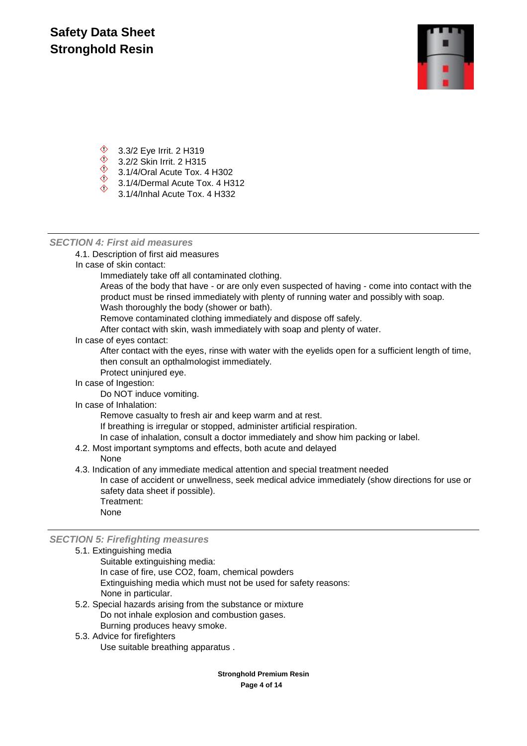

- $\textcircled{3}.3/2$  Eye Irrit. 2 H319
- $\circled{3}$  3.2/2 Skin Irrit. 2 H315
- $\frac{3.272 \text{ cm}}{3.1/4/\text{Oral} }$  Acute Tox. 4 H302  $\Diamond$
- 3.1/4/Dermal Acute Tox. 4 H312
- 3.1/4/Inhal Acute Tox. 4 H332

### *SECTION 4: First aid measures*

4.1. Description of first aid measures

In case of skin contact:

Immediately take off all contaminated clothing.

Areas of the body that have - or are only even suspected of having - come into contact with the product must be rinsed immediately with plenty of running water and possibly with soap.

Wash thoroughly the body (shower or bath).

Remove contaminated clothing immediately and dispose off safely.

After contact with skin, wash immediately with soap and plenty of water.

In case of eyes contact:

After contact with the eyes, rinse with water with the eyelids open for a sufficient length of time, then consult an opthalmologist immediately.

Protect uninjured eye.

In case of Ingestion:

Do NOT induce vomiting.

In case of Inhalation:

Remove casualty to fresh air and keep warm and at rest.

If breathing is irregular or stopped, administer artificial respiration.

- In case of inhalation, consult a doctor immediately and show him packing or label.
- 4.2. Most important symptoms and effects, both acute and delayed

None

4.3. Indication of any immediate medical attention and special treatment needed

In case of accident or unwellness, seek medical advice immediately (show directions for use or safety data sheet if possible).

Treatment: None

*SECTION 5: Firefighting measures*

- 5.1. Extinguishing media Suitable extinguishing media: In case of fire, use CO2, foam, chemical powders Extinguishing media which must not be used for safety reasons: None in particular.
	- 5.2. Special hazards arising from the substance or mixture Do not inhale explosion and combustion gases. Burning produces heavy smoke.
	- 5.3. Advice for firefighters

Use suitable breathing apparatus .

**Stronghold Premium Resin Page 4 of 14**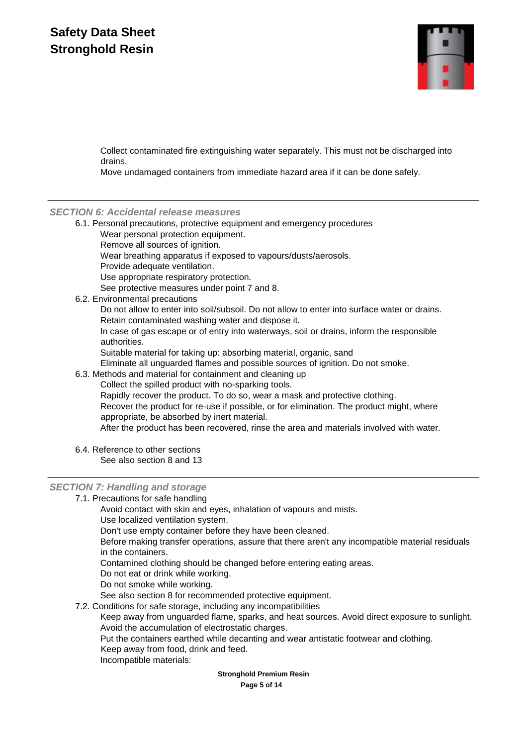

Collect contaminated fire extinguishing water separately. This must not be discharged into drains.

Move undamaged containers from immediate hazard area if it can be done safely.

### *SECTION 6: Accidental release measures*

- 6.1. Personal precautions, protective equipment and emergency procedures Wear personal protection equipment. Remove all sources of ignition. Wear breathing apparatus if exposed to vapours/dusts/aerosols. Provide adequate ventilation. Use appropriate respiratory protection. See protective measures under point 7 and 8.
- 6.2. Environmental precautions

Do not allow to enter into soil/subsoil. Do not allow to enter into surface water or drains. Retain contaminated washing water and dispose it.

In case of gas escape or of entry into waterways, soil or drains, inform the responsible authorities.

Suitable material for taking up: absorbing material, organic, sand

Eliminate all unguarded flames and possible sources of ignition. Do not smoke.

6.3. Methods and material for containment and cleaning up

Collect the spilled product with no-sparking tools.

Rapidly recover the product. To do so, wear a mask and protective clothing. Recover the product for re-use if possible, or for elimination. The product might, where appropriate, be absorbed by inert material.

After the product has been recovered, rinse the area and materials involved with water.

6.4. Reference to other sections See also section 8 and 13

### *SECTION 7: Handling and storage*

7.1. Precautions for safe handling

Avoid contact with skin and eyes, inhalation of vapours and mists. Use localized ventilation system.

Don't use empty container before they have been cleaned.

Before making transfer operations, assure that there aren't any incompatible material residuals in the containers.

Contamined clothing should be changed before entering eating areas.

- Do not eat or drink while working.
- Do not smoke while working.

See also section 8 for recommended protective equipment.

7.2. Conditions for safe storage, including any incompatibilities

Keep away from unguarded flame, sparks, and heat sources. Avoid direct exposure to sunlight. Avoid the accumulation of electrostatic charges.

Put the containers earthed while decanting and wear antistatic footwear and clothing.

- Keep away from food, drink and feed.
- Incompatible materials:

**Stronghold Premium Resin**

**Page 5 of 14**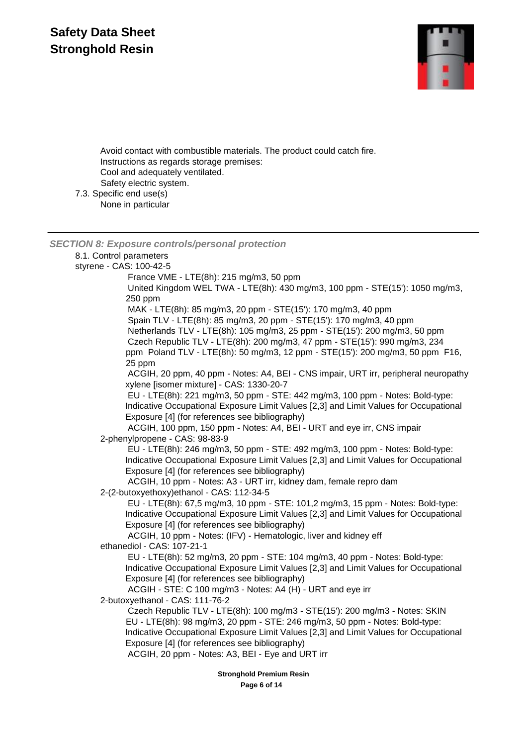

Avoid contact with combustible materials. The product could catch fire. Instructions as regards storage premises: Cool and adequately ventilated. Safety electric system. 7.3. Specific end use(s) None in particular

*SECTION 8: Exposure controls/personal protection* 8.1. Control parameters styrene - CAS: 100-42-5 France VME - LTE(8h): 215 mg/m3, 50 ppm United Kingdom WEL TWA - LTE(8h): 430 mg/m3, 100 ppm - STE(15'): 1050 mg/m3, 250 ppm MAK - LTE(8h): 85 mg/m3, 20 ppm - STE(15'): 170 mg/m3, 40 ppm Spain TLV - LTE(8h): 85 mg/m3, 20 ppm - STE(15'): 170 mg/m3, 40 ppm Netherlands TLV - LTE(8h): 105 mg/m3, 25 ppm - STE(15'): 200 mg/m3, 50 ppm Czech Republic TLV - LTE(8h): 200 mg/m3, 47 ppm - STE(15'): 990 mg/m3, 234 ppm Poland TLV - LTE(8h): 50 mg/m3, 12 ppm - STE(15'): 200 mg/m3, 50 ppm F16, 25 ppm ACGIH, 20 ppm, 40 ppm - Notes: A4, BEI - CNS impair, URT irr, peripheral neuropathy xylene [isomer mixture] - CAS: 1330-20-7 EU - LTE(8h): 221 mg/m3, 50 ppm - STE: 442 mg/m3, 100 ppm - Notes: Bold-type: Indicative Occupational Exposure Limit Values [2,3] and Limit Values for Occupational Exposure [4] (for references see bibliography) ACGIH, 100 ppm, 150 ppm - Notes: A4, BEI - URT and eye irr, CNS impair 2-phenylpropene - CAS: 98-83-9 EU - LTE(8h): 246 mg/m3, 50 ppm - STE: 492 mg/m3, 100 ppm - Notes: Bold-type: Indicative Occupational Exposure Limit Values [2,3] and Limit Values for Occupational Exposure [4] (for references see bibliography) ACGIH, 10 ppm - Notes: A3 - URT irr, kidney dam, female repro dam 2-(2-butoxyethoxy)ethanol - CAS: 112-34-5 EU - LTE(8h): 67,5 mg/m3, 10 ppm - STE: 101,2 mg/m3, 15 ppm - Notes: Bold-type: Indicative Occupational Exposure Limit Values [2,3] and Limit Values for Occupational Exposure [4] (for references see bibliography) ACGIH, 10 ppm - Notes: (IFV) - Hematologic, liver and kidney eff ethanediol - CAS: 107-21-1 EU - LTE(8h): 52 mg/m3, 20 ppm - STE: 104 mg/m3, 40 ppm - Notes: Bold-type: Indicative Occupational Exposure Limit Values [2,3] and Limit Values for Occupational Exposure [4] (for references see bibliography) ACGIH - STE: C 100 mg/m3 - Notes: A4 (H) - URT and eye irr 2-butoxyethanol - CAS: 111-76-2 Czech Republic TLV - LTE(8h): 100 mg/m3 - STE(15'): 200 mg/m3 - Notes: SKIN EU - LTE(8h): 98 mg/m3, 20 ppm - STE: 246 mg/m3, 50 ppm - Notes: Bold-type: Indicative Occupational Exposure Limit Values [2,3] and Limit Values for Occupational Exposure [4] (for references see bibliography) ACGIH, 20 ppm - Notes: A3, BEI - Eye and URT irr

**Stronghold Premium Resin**

**Page 6 of 14**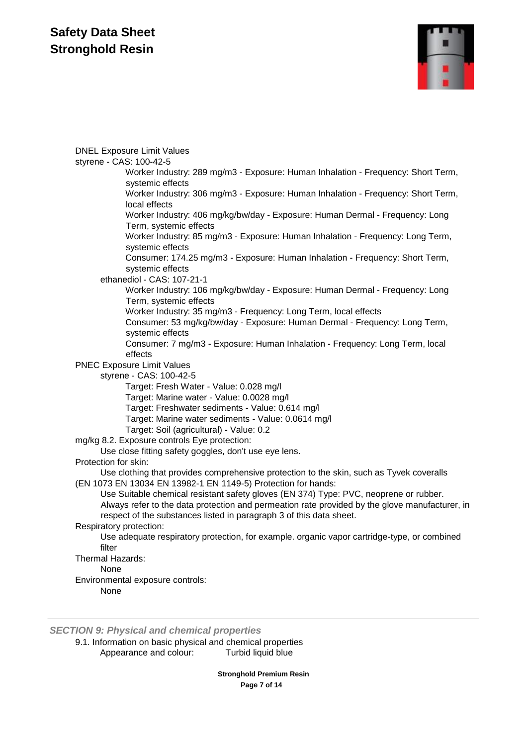

DNEL Exposure Limit Values styrene - CAS: 100-42-5 Worker Industry: 289 mg/m3 - Exposure: Human Inhalation - Frequency: Short Term, systemic effects Worker Industry: 306 mg/m3 - Exposure: Human Inhalation - Frequency: Short Term, local effects Worker Industry: 406 mg/kg/bw/day - Exposure: Human Dermal - Frequency: Long Term, systemic effects Worker Industry: 85 mg/m3 - Exposure: Human Inhalation - Frequency: Long Term, systemic effects Consumer: 174.25 mg/m3 - Exposure: Human Inhalation - Frequency: Short Term, systemic effects ethanediol - CAS: 107-21-1 Worker Industry: 106 mg/kg/bw/day - Exposure: Human Dermal - Frequency: Long Term, systemic effects Worker Industry: 35 mg/m3 - Frequency: Long Term, local effects Consumer: 53 mg/kg/bw/day - Exposure: Human Dermal - Frequency: Long Term, systemic effects Consumer: 7 mg/m3 - Exposure: Human Inhalation - Frequency: Long Term, local effects PNEC Exposure Limit Values styrene - CAS: 100-42-5 Target: Fresh Water - Value: 0.028 mg/l Target: Marine water - Value: 0.0028 mg/l Target: Freshwater sediments - Value: 0.614 mg/l Target: Marine water sediments - Value: 0.0614 mg/l Target: Soil (agricultural) - Value: 0.2 mg/kg 8.2. Exposure controls Eye protection: Use close fitting safety goggles, don't use eye lens. Protection for skin: Use clothing that provides comprehensive protection to the skin, such as Tyvek coveralls (EN 1073 EN 13034 EN 13982-1 EN 1149-5) Protection for hands: Use Suitable chemical resistant safety gloves (EN 374) Type: PVC, neoprene or rubber. Always refer to the data protection and permeation rate provided by the glove manufacturer, in respect of the substances listed in paragraph 3 of this data sheet. Respiratory protection: Use adequate respiratory protection, for example. organic vapor cartridge-type, or combined filter Thermal Hazards: None Environmental exposure controls: None

*SECTION 9: Physical and chemical properties*

9.1. Information on basic physical and chemical properties Appearance and colour: Turbid liquid blue

> **Stronghold Premium Resin Page 7 of 14**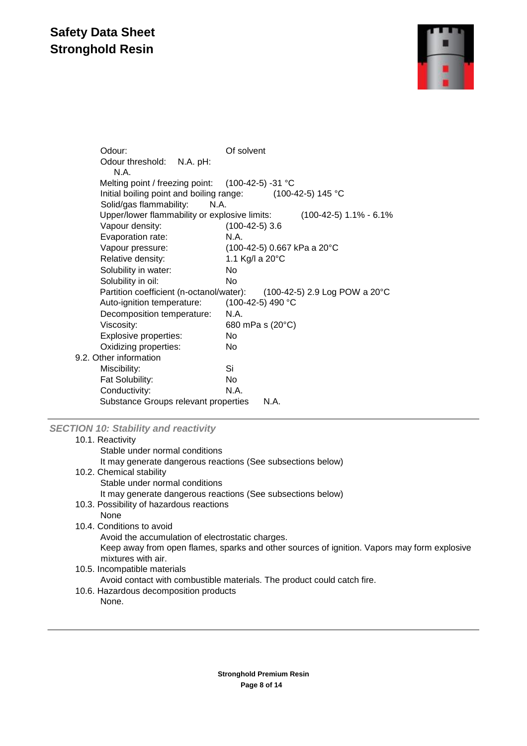

| Odour:                                            | Of solvent                    |
|---------------------------------------------------|-------------------------------|
| Odour threshold:<br>N.A. pH:<br>N.A.              |                               |
| Melting point / freezing point: (100-42-5) -31 °C |                               |
| Initial boiling point and boiling range:          | $(100-42-5)$ 145 °C           |
| Solid/gas flammability:<br>N.A.                   |                               |
| Upper/lower flammability or explosive limits:     | $(100-42-5)$ 1.1% - 6.1%      |
| Vapour density:                                   | $(100-42-5)$ 3.6              |
| Evaporation rate:                                 | N.A.                          |
| Vapour pressure:                                  | (100-42-5) 0.667 kPa a 20°C   |
| Relative density:                                 | 1.1 Kg/l a 20°C               |
| Solubility in water:                              | No.                           |
| Solubility in oil:                                | No                            |
| Partition coefficient (n-octanol/water):          | (100-42-5) 2.9 Log POW a 20°C |
| Auto-ignition temperature:                        | (100-42-5) 490 °C             |
| Decomposition temperature:                        | N.A.                          |
| Viscosity:                                        | 680 mPa s (20°C)              |
| Explosive properties:                             | No                            |
| Oxidizing properties:                             | No.                           |
| 9.2. Other information                            |                               |
| Miscibility:                                      | Si                            |
| Fat Solubility:                                   | No.                           |
| Conductivity:                                     | N.A.                          |
| Substance Groups relevant properties              | N.A.                          |

### *SECTION 10: Stability and reactivity*

| 10.1. Reactivity                                                                                                  |
|-------------------------------------------------------------------------------------------------------------------|
| Stable under normal conditions                                                                                    |
| It may generate dangerous reactions (See subsections below)                                                       |
| 10.2. Chemical stability                                                                                          |
| Stable under normal conditions                                                                                    |
| It may generate dangerous reactions (See subsections below)                                                       |
| 10.3. Possibility of hazardous reactions                                                                          |
| None                                                                                                              |
| 10.4. Conditions to avoid                                                                                         |
| Avoid the accumulation of electrostatic charges.                                                                  |
| Keep away from open flames, sparks and other sources of ignition. Vapors may form explosive<br>mixtures with air. |
| 10.5. Incompatible materials                                                                                      |
| Avoid contact with combustible materials. The product could catch fire.                                           |
| 10.6. Hazardous decomposition products                                                                            |
| None.                                                                                                             |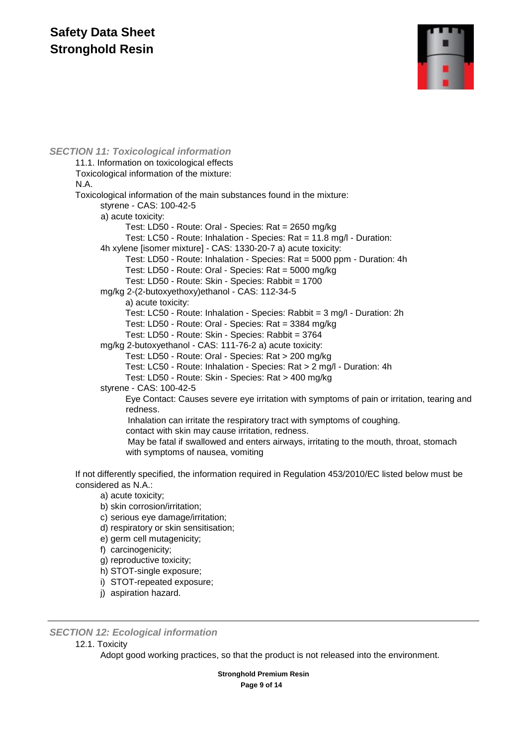

#### *SECTION 11: Toxicological information* 11.1. Information on toxicological effects Toxicological information of the mixture: N.A. Toxicological information of the main substances found in the mixture: styrene - CAS: 100-42-5 a) acute toxicity: Test: LD50 - Route: Oral - Species: Rat = 2650 mg/kg Test: LC50 - Route: Inhalation - Species: Rat = 11.8 mg/l - Duration: 4h xylene [isomer mixture] - CAS: 1330-20-7 a) acute toxicity: Test: LD50 - Route: Inhalation - Species: Rat = 5000 ppm - Duration: 4h Test: LD50 - Route: Oral - Species: Rat = 5000 mg/kg Test: LD50 - Route: Skin - Species: Rabbit = 1700 mg/kg 2-(2-butoxyethoxy)ethanol - CAS: 112-34-5 a) acute toxicity: Test: LC50 - Route: Inhalation - Species: Rabbit = 3 mg/l - Duration: 2h Test: LD50 - Route: Oral - Species: Rat = 3384 mg/kg Test: LD50 - Route: Skin - Species: Rabbit = 3764 mg/kg 2-butoxyethanol - CAS: 111-76-2 a) acute toxicity: Test: LD50 - Route: Oral - Species: Rat > 200 mg/kg Test: LC50 - Route: Inhalation - Species: Rat > 2 mg/l - Duration: 4h Test: LD50 - Route: Skin - Species: Rat > 400 mg/kg styrene - CAS: 100-42-5 Eye Contact: Causes severe eye irritation with symptoms of pain or irritation, tearing and redness. Inhalation can irritate the respiratory tract with symptoms of coughing. contact with skin may cause irritation, redness. May be fatal if swallowed and enters airways, irritating to the mouth, throat, stomach with symptoms of nausea, vomiting

If not differently specified, the information required in Regulation 453/2010/EC listed below must be considered as N.A.:

- a) acute toxicity;
- b) skin corrosion/irritation;
- c) serious eye damage/irritation;
- d) respiratory or skin sensitisation;
- e) germ cell mutagenicity;
- f) carcinogenicity;
- g) reproductive toxicity;
- h) STOT-single exposure;
- i) STOT-repeated exposure;
- j) aspiration hazard.

#### *SECTION 12: Ecological information*

#### 12.1. Toxicity

Adopt good working practices, so that the product is not released into the environment.

**Stronghold Premium Resin Page 9 of 14**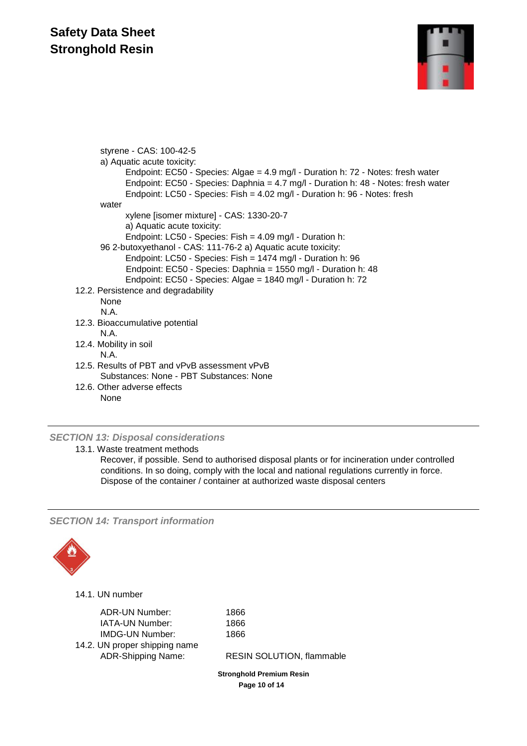

styrene - CAS: 100-42-5 a) Aquatic acute toxicity: Endpoint: EC50 - Species: Algae = 4.9 mg/l - Duration h: 72 - Notes: fresh water Endpoint: EC50 - Species: Daphnia = 4.7 mg/l - Duration h: 48 - Notes: fresh water Endpoint: LC50 - Species: Fish = 4.02 mg/l - Duration h: 96 - Notes: fresh water xylene [isomer mixture] - CAS: 1330-20-7 a) Aquatic acute toxicity: Endpoint: LC50 - Species: Fish = 4.09 mg/l - Duration h: 96 2-butoxyethanol - CAS: 111-76-2 a) Aquatic acute toxicity: Endpoint: LC50 - Species: Fish = 1474 mg/l - Duration h: 96 Endpoint: EC50 - Species: Daphnia = 1550 mg/l - Duration h: 48 Endpoint: EC50 - Species: Algae = 1840 mg/l - Duration h: 72 12.2. Persistence and degradability None N.A. 12.3. Bioaccumulative potential N.A. 12.4. Mobility in soil N.A. 12.5. Results of PBT and vPvB assessment vPvB Substances: None - PBT Substances: None 12.6. Other adverse effects None

### *SECTION 13: Disposal considerations*

13.1. Waste treatment methods

Recover, if possible. Send to authorised disposal plants or for incineration under controlled conditions. In so doing, comply with the local and national regulations currently in force. Dispose of the container / container at authorized waste disposal centers

*SECTION 14: Transport information*



14.1. UN number

| ADR-UN Number:                | 1866 |
|-------------------------------|------|
| <b>IATA-UN Number:</b>        | 1866 |
| <b>IMDG-UN Number:</b>        | 1866 |
| 14.2. UN proper shipping name |      |
| <b>ADR-Shipping Name:</b>     | RESI |
|                               |      |

**ESIN SOLUTION, flammable** 

**Stronghold Premium Resin Page 10 of 14**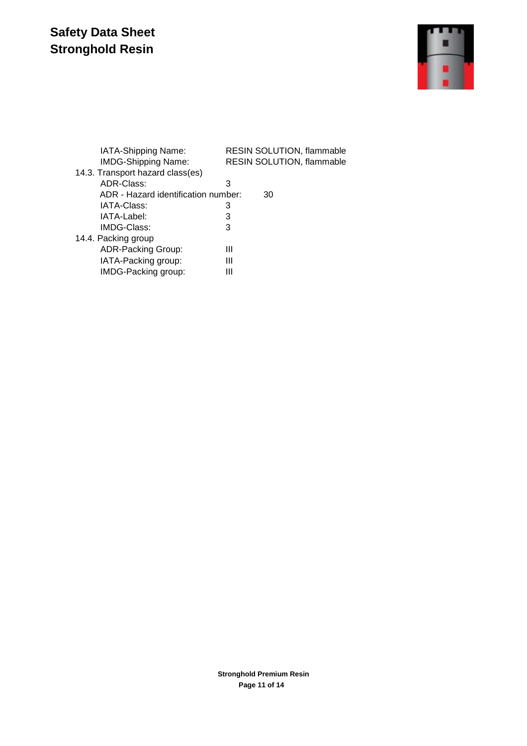

| IATA-Shipping Name:                 | RESIN SOLUTION, flammable |
|-------------------------------------|---------------------------|
| <b>IMDG-Shipping Name:</b>          | RESIN SOLUTION, flammable |
| 14.3. Transport hazard class(es)    |                           |
| ADR-Class:                          | З                         |
| ADR - Hazard identification number: | 30                        |
| IATA-Class:                         | 3                         |
| IATA-Label:                         | 3                         |
| IMDG-Class:                         | 3                         |
| 14.4. Packing group                 |                           |
| <b>ADR-Packing Group:</b>           | Ш                         |
| IATA-Packing group:                 | Ш                         |
| IMDG-Packing group:                 | Ш                         |
|                                     |                           |

**Stronghold Premium Resin Page 11 of 14**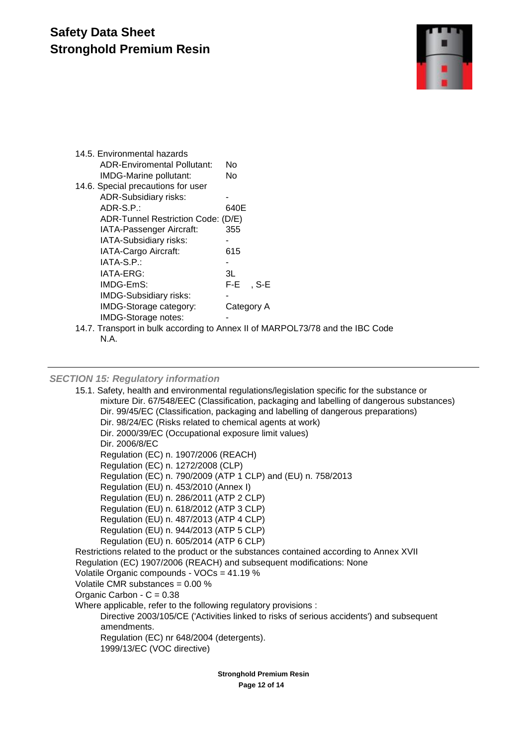### **Safety Data Sheet Stronghold Premium Resin**



| 14.5. Environmental hazards        |             |
|------------------------------------|-------------|
| <b>ADR-Enviromental Pollutant:</b> | N٥          |
| IMDG-Marine pollutant:             | No.         |
| 14.6. Special precautions for user |             |
| <b>ADR-Subsidiary risks:</b>       |             |
| ADR-S.P.:                          | 640E        |
| ADR-Tunnel Restriction Code: (D/E) |             |
| IATA-Passenger Aircraft:           | 355         |
| IATA-Subsidiary risks:             |             |
| IATA-Cargo Aircraft:               | 615         |
| $IATA-S.P.$ :                      |             |
| IATA-ERG:                          | 3L          |
| IMDG-EmS:                          | $F-E$ , S-E |
| <b>IMDG-Subsidiary risks:</b>      |             |
| IMDG-Storage category:             | Category A  |
| IMDG-Storage notes:                |             |
|                                    |             |

14.7. Transport in bulk according to Annex II of MARPOL73/78 and the IBC Code N.A.

#### *SECTION 15: Regulatory information*

15.1. Safety, health and environmental regulations/legislation specific for the substance or mixture Dir. 67/548/EEC (Classification, packaging and labelling of dangerous substances) Dir. 99/45/EC (Classification, packaging and labelling of dangerous preparations) Dir. 98/24/EC (Risks related to chemical agents at work) Dir. 2000/39/EC (Occupational exposure limit values) Dir. 2006/8/EC Regulation (EC) n. 1907/2006 (REACH) Regulation (EC) n. 1272/2008 (CLP) Regulation (EC) n. 790/2009 (ATP 1 CLP) and (EU) n. 758/2013 Regulation (EU) n. 453/2010 (Annex I) Regulation (EU) n. 286/2011 (ATP 2 CLP) Regulation (EU) n. 618/2012 (ATP 3 CLP) Regulation (EU) n. 487/2013 (ATP 4 CLP) Regulation (EU) n. 944/2013 (ATP 5 CLP) Regulation (EU) n. 605/2014 (ATP 6 CLP) Restrictions related to the product or the substances contained according to Annex XVII Regulation (EC) 1907/2006 (REACH) and subsequent modifications: None Volatile Organic compounds - VOCs = 41.19 % Volatile CMR substances = 0.00 % Organic Carbon -  $C = 0.38$ Where applicable, refer to the following regulatory provisions : Directive 2003/105/CE ('Activities linked to risks of serious accidents') and subsequent amendments. Regulation (EC) nr 648/2004 (detergents). 1999/13/EC (VOC directive)

> **Stronghold Premium Resin Page 12 of 14**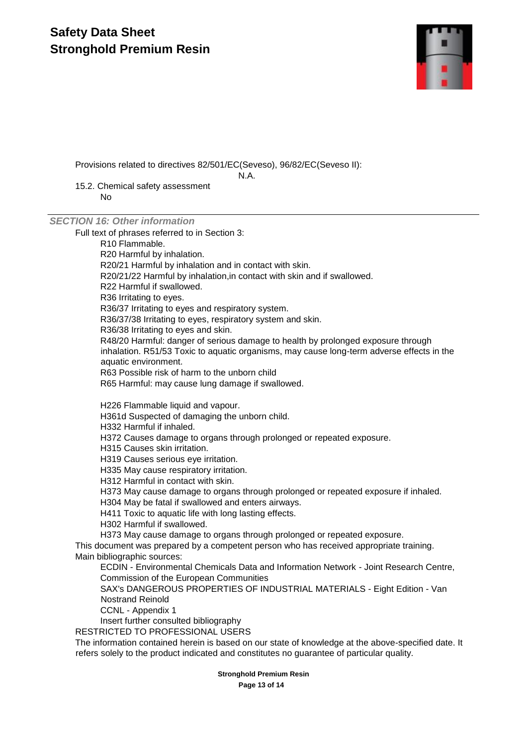### **Safety Data Sheet Stronghold Premium Resin**



Provisions related to directives 82/501/EC(Seveso), 96/82/EC(Seveso II):

N.A.

15.2. Chemical safety assessment No

### *SECTION 16: Other information*

Full text of phrases referred to in Section 3:

R10 Flammable.

R20 Harmful by inhalation.

R20/21 Harmful by inhalation and in contact with skin.

R20/21/22 Harmful by inhalation,in contact with skin and if swallowed.

R22 Harmful if swallowed.

R36 Irritating to eyes.

R36/37 Irritating to eyes and respiratory system.

R36/37/38 Irritating to eyes, respiratory system and skin.

R36/38 Irritating to eyes and skin.

R48/20 Harmful: danger of serious damage to health by prolonged exposure through inhalation. R51/53 Toxic to aquatic organisms, may cause long-term adverse effects in the aquatic environment.

R63 Possible risk of harm to the unborn child

R65 Harmful: may cause lung damage if swallowed.

H226 Flammable liquid and vapour.

H361d Suspected of damaging the unborn child.

H332 Harmful if inhaled.

H372 Causes damage to organs through prolonged or repeated exposure.

H315 Causes skin irritation.

H319 Causes serious eye irritation.

H335 May cause respiratory irritation.

H312 Harmful in contact with skin.

H373 May cause damage to organs through prolonged or repeated exposure if inhaled.

H304 May be fatal if swallowed and enters airways.

H411 Toxic to aquatic life with long lasting effects.

H302 Harmful if swallowed.

H373 May cause damage to organs through prolonged or repeated exposure.

This document was prepared by a competent person who has received appropriate training. Main bibliographic sources:

ECDIN - Environmental Chemicals Data and Information Network - Joint Research Centre, Commission of the European Communities

SAX's DANGEROUS PROPERTIES OF INDUSTRIAL MATERIALS - Eight Edition - Van Nostrand Reinold

CCNL - Appendix 1

Insert further consulted bibliography

RESTRICTED TO PROFESSIONAL USERS

The information contained herein is based on our state of knowledge at the above-specified date. It refers solely to the product indicated and constitutes no guarantee of particular quality.

**Stronghold Premium Resin**

**Page 13 of 14**